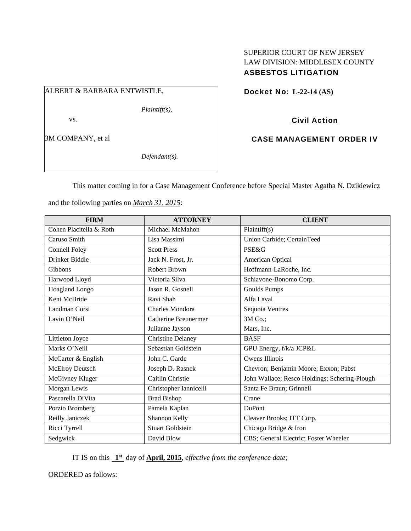# SUPERIOR COURT OF NEW JERSEY LAW DIVISION: MIDDLESEX COUNTY ASBESTOS LITIGATION

# ALBERT & BARBARA ENTWISTLE,

*Plaintiff(s),* 

vs.

3M COMPANY, et al

*Defendant(s).* 

Docket No: **L-22-14 (AS)** 

Civil Action

CASE MANAGEMENT ORDER IV

This matter coming in for a Case Management Conference before Special Master Agatha N. Dzikiewicz

and the following parties on *March 31, 2015*:

| <b>FIRM</b>             | <b>ATTORNEY</b>          | <b>CLIENT</b>                                 |
|-------------------------|--------------------------|-----------------------------------------------|
| Cohen Placitella & Roth | Michael McMahon          | Plaintiff(s)                                  |
| Caruso Smith            | Lisa Massimi             | Union Carbide; CertainTeed                    |
| <b>Connell Foley</b>    | <b>Scott Press</b>       | <b>PSE&amp;G</b>                              |
| Drinker Biddle          | Jack N. Frost, Jr.       | American Optical                              |
| Gibbons                 | <b>Robert Brown</b>      | Hoffmann-LaRoche, Inc.                        |
| Harwood Lloyd           | Victoria Silva           | Schiavone-Bonomo Corp.                        |
| Hoagland Longo          | Jason R. Gosnell         | <b>Goulds Pumps</b>                           |
| Kent McBride            | Ravi Shah                | Alfa Laval                                    |
| Landman Corsi           | Charles Mondora          | Sequoia Ventres                               |
| Lavin O'Neil            | Catherine Breunermer     | 3M Co.;                                       |
|                         | Julianne Jayson          | Mars, Inc.                                    |
| Littleton Joyce         | <b>Christine Delaney</b> | <b>BASF</b>                                   |
| Marks O'Neill           | Sebastian Goldstein      | GPU Energy, f/k/a JCP&L                       |
| McCarter & English      | John C. Garde            | Owens Illinois                                |
| McElroy Deutsch         | Joseph D. Rasnek         | Chevron; Benjamin Moore; Exxon; Pabst         |
| McGivney Kluger         | Caitlin Christie         | John Wallace; Resco Holdings; Schering-Plough |
| Morgan Lewis            | Christopher Iannicelli   | Santa Fe Braun; Grinnell                      |
| Pascarella DiVita       | <b>Brad Bishop</b>       | Crane                                         |
| Porzio Bromberg         | Pamela Kaplan            | DuPont                                        |
| Reilly Janiczek         | Shannon Kelly            | Cleaver Brooks; ITT Corp.                     |
| Ricci Tyrrell           | <b>Stuart Goldstein</b>  | Chicago Bridge & Iron                         |
| Sedgwick                | David Blow               | CBS; General Electric; Foster Wheeler         |

IT IS on this **1st** day of **April, 2015**, *effective from the conference date;*

ORDERED as follows: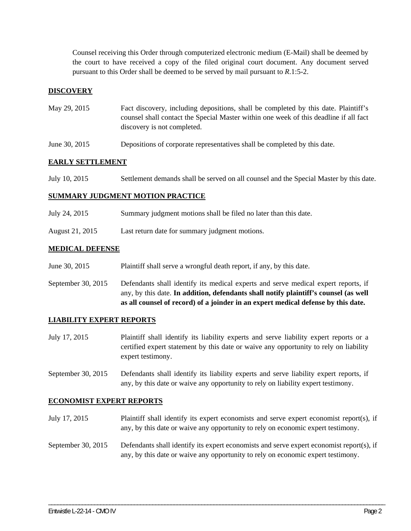Counsel receiving this Order through computerized electronic medium (E-Mail) shall be deemed by the court to have received a copy of the filed original court document. Any document served pursuant to this Order shall be deemed to be served by mail pursuant to *R*.1:5-2.

## **DISCOVERY**

| May 29, 2015 | Fact discovery, including depositions, shall be completed by this date. Plaintiff's   |
|--------------|---------------------------------------------------------------------------------------|
|              | counsel shall contact the Special Master within one week of this deadline if all fact |
|              | discovery is not completed.                                                           |

June 30, 2015 Depositions of corporate representatives shall be completed by this date.

### **EARLY SETTLEMENT**

| July 10, 2015 | Settlement demands shall be served on all counsel and the Special Master by this date. |
|---------------|----------------------------------------------------------------------------------------|
|---------------|----------------------------------------------------------------------------------------|

#### **SUMMARY JUDGMENT MOTION PRACTICE**

- July 24, 2015 Summary judgment motions shall be filed no later than this date.
- August 21, 2015 Last return date for summary judgment motions.

#### **MEDICAL DEFENSE**

- June 30, 2015 Plaintiff shall serve a wrongful death report, if any, by this date.
- September 30, 2015 Defendants shall identify its medical experts and serve medical expert reports, if any, by this date. **In addition, defendants shall notify plaintiff's counsel (as well as all counsel of record) of a joinder in an expert medical defense by this date.**

#### **LIABILITY EXPERT REPORTS**

- July 17, 2015 Plaintiff shall identify its liability experts and serve liability expert reports or a certified expert statement by this date or waive any opportunity to rely on liability expert testimony.
- September 30, 2015 Defendants shall identify its liability experts and serve liability expert reports, if any, by this date or waive any opportunity to rely on liability expert testimony.

#### **ECONOMIST EXPERT REPORTS**

- July 17, 2015 Plaintiff shall identify its expert economists and serve expert economist report(s), if any, by this date or waive any opportunity to rely on economic expert testimony.
- September 30, 2015 Defendants shall identify its expert economists and serve expert economist report(s), if any, by this date or waive any opportunity to rely on economic expert testimony.

\_\_\_\_\_\_\_\_\_\_\_\_\_\_\_\_\_\_\_\_\_\_\_\_\_\_\_\_\_\_\_\_\_\_\_\_\_\_\_\_\_\_\_\_\_\_\_\_\_\_\_\_\_\_\_\_\_\_\_\_\_\_\_\_\_\_\_\_\_\_\_\_\_\_\_\_\_\_\_\_\_\_\_\_\_\_\_\_\_\_\_\_\_\_\_\_\_\_\_\_\_\_\_\_\_\_\_\_\_\_